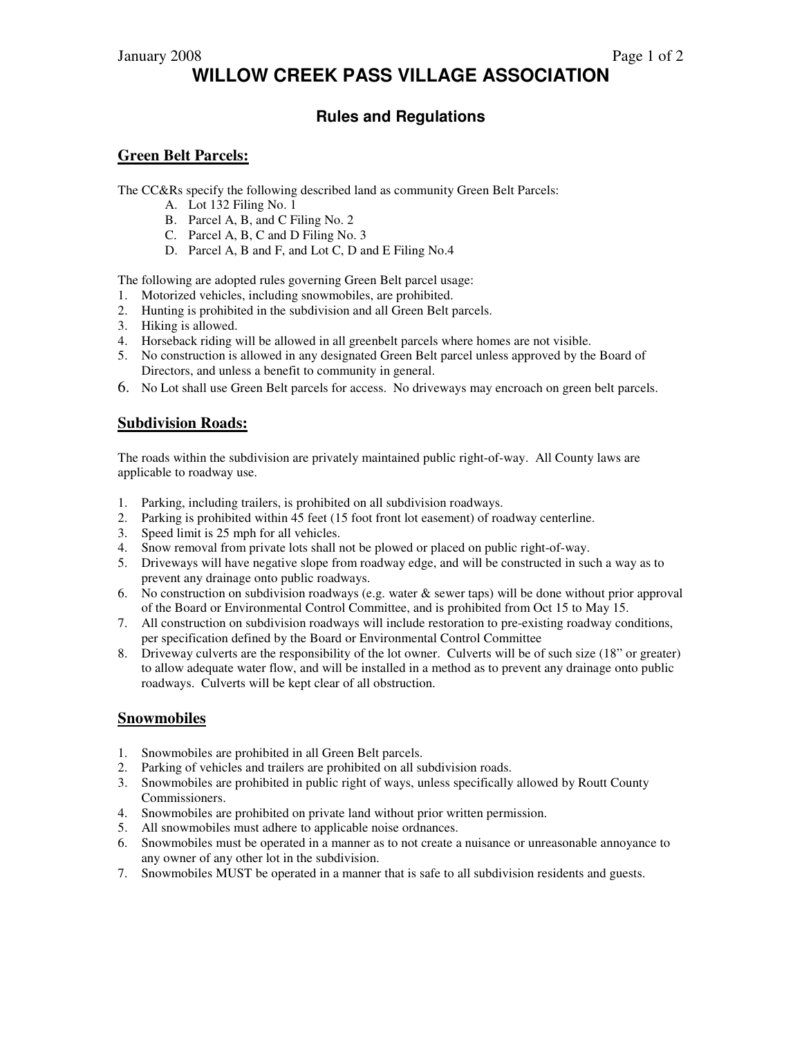# **WILLOW CREEK PASS VILLAGE ASSOCIATION**

## **Rules and Regulations**

### **Green Belt Parcels:**

The CC&Rs specify the following described land as community Green Belt Parcels:

- A. Lot 132 Filing No. 1
- B. Parcel A, B, and C Filing No. 2
- C. Parcel A, B, C and D Filing No. 3
- D. Parcel A, B and F, and Lot C, D and E Filing No.4

The following are adopted rules governing Green Belt parcel usage:

- 1. Motorized vehicles, including snowmobiles, are prohibited.
- 2. Hunting is prohibited in the subdivision and all Green Belt parcels.
- 3. Hiking is allowed.
- 4. Horseback riding will be allowed in all greenbelt parcels where homes are not visible.
- 5. No construction is allowed in any designated Green Belt parcel unless approved by the Board of Directors, and unless a benefit to community in general.
- 6. No Lot shall use Green Belt parcels for access. No driveways may encroach on green belt parcels.

### **Subdivision Roads:**

The roads within the subdivision are privately maintained public right-of-way. All County laws are applicable to roadway use.

- 1. Parking, including trailers, is prohibited on all subdivision roadways.
- 2. Parking is prohibited within 45 feet (15 foot front lot easement) of roadway centerline.
- 3. Speed limit is 25 mph for all vehicles.
- 4. Snow removal from private lots shall not be plowed or placed on public right-of-way.
- 5. Driveways will have negative slope from roadway edge, and will be constructed in such a way as to prevent any drainage onto public roadways.
- 6. No construction on subdivision roadways (e.g. water & sewer taps) will be done without prior approval of the Board or Environmental Control Committee, and is prohibited from Oct 15 to May 15.
- 7. All construction on subdivision roadways will include restoration to pre-existing roadway conditions, per specification defined by the Board or Environmental Control Committee
- 8. Driveway culverts are the responsibility of the lot owner. Culverts will be of such size (18" or greater) to allow adequate water flow, and will be installed in a method as to prevent any drainage onto public roadways. Culverts will be kept clear of all obstruction.

### **Snowmobiles**

- 1. Snowmobiles are prohibited in all Green Belt parcels.
- 2. Parking of vehicles and trailers are prohibited on all subdivision roads.
- 3. Snowmobiles are prohibited in public right of ways, unless specifically allowed by Routt County Commissioners.
- 4. Snowmobiles are prohibited on private land without prior written permission.
- 5. All snowmobiles must adhere to applicable noise ordnances.
- 6. Snowmobiles must be operated in a manner as to not create a nuisance or unreasonable annoyance to any owner of any other lot in the subdivision.
- 7. Snowmobiles MUST be operated in a manner that is safe to all subdivision residents and guests.